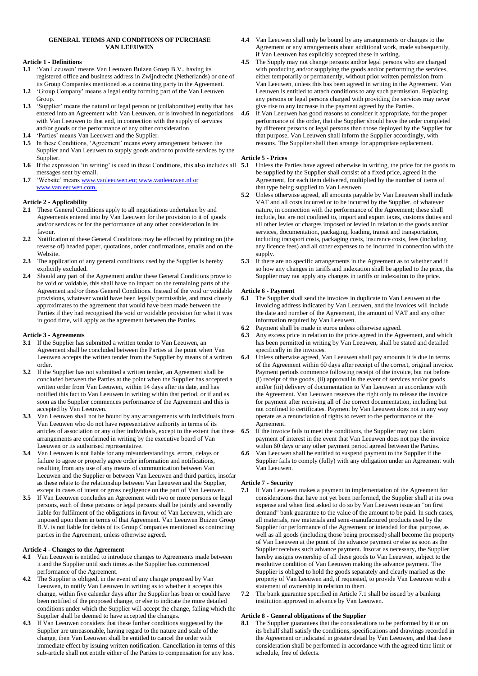## **GENERAL TERMS AND CONDITIONS OF PURCHASE VAN LEEUWEN**

#### **Article 1 - Definitions**

- **1.1** 'Van Leeuwen' means Van Leeuwen Buizen Groep B.V., having its registered office and business address in Zwijndrecht (Netherlands) or one of its Group Companies mentioned as a contracting party in the Agreement.
- **1.2** 'Group Company' means a legal entity forming part of the Van Leeuwen Group.
- **1.3** 'Supplier' means the natural or legal person or (collaborative) entity that has entered into an Agreement with Van Leeuwen, or is involved in negotiations with Van Leeuwen to that end, in connection with the supply of services and/or goods or the performance of any other consideration.
- **1.4** 'Parties' means Van Leeuwen and the Supplier.
- **1.5** In these Conditions, 'Agreement' means every arrangement between the Supplier and Van Leeuwen to supply goods and/or to provide services by the Supplier.
- messages sent by email.
- 1.7 'Website' means [www.vanleeuwen.eu;](http://www.vanleeuwen.eu/) [www.vanleeuwen.nl](http://www.vanleeuwen.nl/) or www.vanleeuwen.com.

# **Article 2 - Applicability**

- **2.1** These General Conditions apply to all negotiations undertaken by and Agreements entered into by Van Leeuwen for the provision to it of goods and/or services or for the performance of any other consideration in its favour.
- **2.2** Notification of these General Conditions may be effected by printing on (the reverse of) headed paper, quotations, order confirmations, emails and on the Website.
- **2.3** The application of any general conditions used by the Supplier is hereby explicitly excluded.
- **2.4** Should any part of the Agreement and/or these General Conditions prove to be void or voidable, this shall have no impact on the remaining parts of the Agreement and/or these General Conditions. Instead of the void or voidable provisions, whatever would have been legally permissible, and most closely approximates to the agreement that would have been made between the Parties if they had recognised the void or voidable provision for what it was in good time, will apply as the agreement between the Parties.

## **Article 3 - Agreements**

- **3.1** If the Supplier has submitted a written tender to Van Leeuwen, an Agreement shall be concluded between the Parties at the point when Van Leeuwen accepts the written tender from the Supplier by means of a written order.
- **3.2** If the Supplier has not submitted a written tender, an Agreement shall be concluded between the Parties at the point when the Supplier has accepted a written order from Van Leeuwen, within 14 days after its date, and has notified this fact to Van Leeuwen in writing within that period, or if and as soon as the Supplier commences performance of the Agreement and this is accepted by Van Leeuwen.
- **3.3** Van Leeuwen shall not be bound by any arrangements with individuals from Van Leeuwen who do not have representative authority in terms of its articles of association or any other individuals, except to the extent that these arrangements are confirmed in writing by the executive board of Van Leeuwen or its authorised representative.
- **3.4** Van Leeuwen is not liable for any misunderstandings, errors, delays or failure to agree or properly agree order information and notifications, resulting from any use of any means of communication between Van Leeuwen and the Supplier or between Van Leeuwen and third parties, insofar as these relate to the relationship between Van Leeuwen and the Supplier, except in cases of intent or gross negligence on the part of Van Leeuwen.
- **3.5** If Van Leeuwen concludes an Agreement with two or more persons or legal persons, each of these persons or legal persons shall be jointly and severally liable for fulfilment of the obligations in favour of Van Leeuwen, which are imposed upon them in terms of that Agreement. Van Leeuwen Buizen Groep B.V. is not liable for debts of its Group Companies mentioned as contracting parties in the Agreement, unless otherwise agreed.

# **Article 4 - Changes to the Agreement**

- **4.1** Van Leeuwen is entitled to introduce changes to Agreements made between it and the Supplier until such times as the Supplier has commenced performance of the Agreement.
- **4.2** The Supplier is obliged, in the event of any change proposed by Van Leeuwen, to notify Van Leeuwen in writing as to whether it accepts this change, within five calendar days after the Supplier has been or could have been notified of the proposed change, or else to indicate the more detailed conditions under which the Supplier will accept the change, failing which the Supplier shall be deemed to have accepted the changes.
- **4.3** If Van Leeuwen considers that these further conditions suggested by the Supplier are unreasonable, having regard to the nature and scale of the change, then Van Leeuwen shall be entitled to cancel the order with immediate effect by issuing written notification. Cancellation in terms of this sub-article shall not entitle either of the Parties to compensation for any loss.
- **4.4** Van Leeuwen shall only be bound by any arrangements or changes to the Agreement or any arrangements about additional work, made subsequently, if Van Leeuwen has explicitly accepted these in writing.
- **4.5** The Supply may not change persons and/or legal persons who are charged with producing and/or supplying the goods and/or performing the services, either temporarily or permanently, without prior written permission from Van Leeuwen, unless this has been agreed in writing in the Agreement. Van Leeuwen is entitled to attach conditions to any such permission. Replacing any persons or legal persons charged with providing the services may never give rise to any increase in the payment agreed by the Parties.
- **4.6** If Van Leeuwen has good reasons to consider it appropriate, for the proper performance of the order, that the Supplier should have the order completed by different persons or legal persons than those deployed by the Supplier for that purpose, Van Leeuwen shall inform the Supplier accordingly, with reasons. The Supplier shall then arrange for appropriate replacement.

## **Article 5 - Prices**

- **1.6** If the expression 'in writing' is used in these Conditions, this also includes all **5.1** Unless the Parties have agreed otherwise in writing, the price for the goods to be supplied by the Supplier shall consist of a fixed price, agreed in the Agreement, for each item delivered, multiplied by the number of items of that type being supplied to Van Leeuwen.
	- **5.2** Unless otherwise agreed, all amounts payable by Van Leeuwen shall include VAT and all costs incurred or to be incurred by the Supplier, of whatever nature, in connection with the performance of the Agreement; these shall include, but are not confined to, import and export taxes, customs duties and all other levies or charges imposed or levied in relation to the goods and/or services, documentation, packaging, loading, transit and transportation, including transport costs, packaging costs, insurance costs, fees (including any licence fees) and all other expenses to be incurred in connection with the supply.
	- **5.3** If there are no specific arrangements in the Agreement as to whether and if so how any changes in tariffs and indexation shall be applied to the price, the Supplier may not apply any changes in tariffs or indexation to the price.

## **Article 6 - Payment**

- **6.1** The Supplier shall send the invoices in duplicate to Van Leeuwen at the invoicing address indicated by Van Leeuwen, and the invoices will include the date and number of the Agreement, the amount of VAT and any other information required by Van Leeuwen.
- **6.2** Payment shall be made in euros unless otherwise agreed.
- **6.3** Any excess price in relation to the price agreed in the Agreement, and which has been permitted in writing by Van Leeuwen, shall be stated and detailed specifically in the invoices.
- **6.4** Unless otherwise agreed, Van Leeuwen shall pay amounts it is due in terms of the Agreement within 60 days after receipt of the correct, original invoice. Payment periods commence following receipt of the invoice, but not before (i) receipt of the goods, (ii) approval in the event of services and/or goods and/or (iii) delivery of documentation to Van Leeuwen in accordance with the Agreement. Van Leeuwen reserves the right only to release the invoice for payment after receiving all of the correct documentation, including but not confined to certificates. Payment by Van Leeuwen does not in any way operate as a renunciation of rights to revert to the performance of the Agreement.
- **6.5** If the invoice fails to meet the conditions, the Supplier may not claim payment of interest in the event that Van Leeuwen does not pay the invoice within 60 days or any other payment period agreed between the Parties.
- **6.6** Van Leeuwen shall be entitled to suspend payment to the Supplier if the Supplier fails to comply (fully) with any obligation under an Agreement with Van Leeuwen.

# **Article 7 - Security**

- **7.1** If Van Leeuwen makes a payment in implementation of the Agreement for considerations that have not yet been performed, the Supplier shall at its own expense and when first asked to do so by Van Leeuwen issue an "on first demand" bank guarantee to the value of the amount to be paid. In such cases, all materials, raw materials and semi-manufactured products used by the Supplier for performance of the Agreement or intended for that purpose, as well as all goods (including those being processed) shall become the property of Van Leeuwen at the point of the advance payment or else as soon as the Supplier receives such advance payment. Insofar as necessary, the Supplier hereby assigns ownership of all these goods to Van Leeuwen, subject to the resolutive condition of Van Leeuwen making the advance payment. The Supplier is obliged to hold the goods separately and clearly marked as the property of Van Leeuwen and, if requested, to provide Van Leeuwen with a statement of ownership in relation to them.
- **7.2** The bank guarantee specified in Article 7.1 shall be issued by a banking institution approved in advance by Van Leeuwen.

# **Article 8 - General obligations of the Supplier**

**8.1** The Supplier guarantees that the considerations to be performed by it or on its behalf shall satisfy the conditions, specifications and drawings recorded in the Agreement or indicated in greater detail by Van Leeuwen, and that these consideration shall be performed in accordance with the agreed time limit or schedule, free of defects.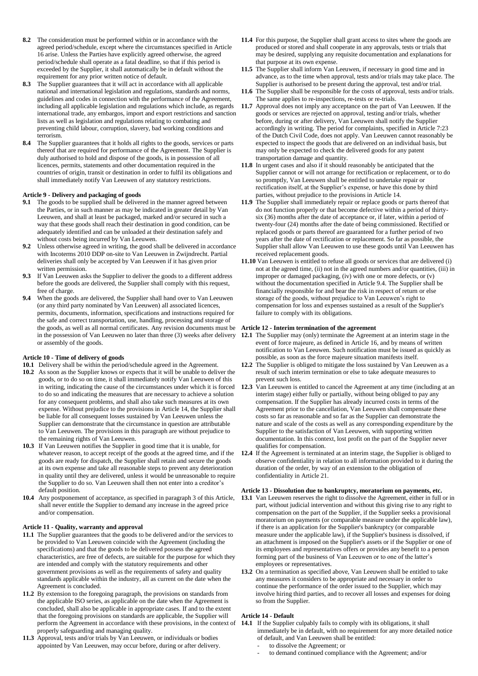- **8.2** The consideration must be performed within or in accordance with the agreed period/schedule, except where the circumstances specified in Article 16 arise. Unless the Parties have explicitly agreed otherwise, the agreed period/schedule shall operate as a fatal deadline, so that if this period is exceeded by the Supplier, it shall automatically be in default without the requirement for any prior written notice of default.
- **8.3** The Supplier guarantees that it will act in accordance with all applicable national and international legislation and regulations, standards and norms, guidelines and codes in connection with the performance of the Agreement, including all applicable legislation and regulations which include, as regards international trade, any embargos, import and export restrictions and sanction lists as well as legislation and regulations relating to combating and preventing child labour, corruption, slavery, bad working conditions and terrorism.
- **8.4** The Supplier guarantees that it holds all rights to the goods, services or parts thereof that are required for performance of the Agreement. The Supplier is duly authorised to hold and dispose of the goods, is in possession of all licences, permits, statements and other documentation required in the countries of origin, transit or destination in order to fulfil its obligations and shall immediately notify Van Leeuwen of any statutory restrictions.

### **Article 9 - Delivery and packaging of goods**

- **9.1** The goods to be supplied shall be delivered in the manner agreed between the Parties, or in such manner as may be indicated in greater detail by Van Leeuwen, and shall at least be packaged, marked and/or secured in such a way that these goods shall reach their destination in good condition, can be adequately identified and can be unloaded at their destination safely and without costs being incurred by Van Leeuwen.
- **9.2** Unless otherwise agreed in writing, the good shall be delivered in accordance with Incoterms 2010 DDP on-site to Van Leeuwen in Zwijndrecht. Partial deliveries shall only be accepted by Van Leeuwen if it has given prior written permission.
- **9.3** If Van Leeuwen asks the Supplier to deliver the goods to a different address before the goods are delivered, the Supplier shall comply with this request, free of charge.
- **9.4** When the goods are delivered, the Supplier shall hand over to Van Leeuwen (or any third party nominated by Van Leeuwen) all associated licences, permits, documents, information, specifications and instructions required for the safe and correct transportation, use, handling, processing and storage of the goods, as well as all normal certificates. Any revision documents must be **Article 12 - Interim termination of the agreement** or assembly of the goods.

#### **Article 10 - Time of delivery of goods**

- **10.1** Delivery shall be within the period/schedule agreed in the Agreement.
- **10.2** As soon as the Supplier knows or expects that it will be unable to deliver the goods, or to do so on time, it shall immediately notify Van Leeuwen of this in writing, indicating the cause of the circumstances under which it is forced to do so and indicating the measures that are necessary to achieve a solution for any consequent problems, and shall also take such measures at its own expense. Without prejudice to the provisions in Article 14, the Supplier shall be liable for all consequent losses sustained by Van Leeuwen unless the Supplier can demonstrate that the circumstance in question are attributable to Van Leeuwen. The provisions in this paragraph are without prejudice to the remaining rights of Van Leeuwen.
- **10.3** If Van Leeuwen notifies the Supplier in good time that it is unable, for whatever reason, to accept receipt of the goods at the agreed time, and if the goods are ready for dispatch, the Supplier shall retain and secure the goods at its own expense and take all reasonable steps to prevent any deterioration in quality until they are delivered, unless it would be unreasonable to require the Supplier to do so. Van Leeuwen shall then not enter into a creditor's default position.
- **10.4** Any postponement of acceptance, as specified in paragraph 3 of this Article, shall never entitle the Supplier to demand any increase in the agreed price and/or compensation.

#### **Article 11 - Quality, warranty and approval**

- **11.1** The Supplier guarantees that the goods to be delivered and/or the services to be provided to Van Leeuwen coincide with the Agreement (including the specifications) and that the goods to be delivered possess the agreed characteristics, are free of defects, are suitable for the purpose for which they are intended and comply with the statutory requirements and other government provisions as well as the requirements of safety and quality standards applicable within the industry, all as current on the date when the Agreement is concluded.
- **11.2** By extension to the foregoing paragraph, the provisions on standards from the applicable ISO series, as applicable on the date when the Agreement is concluded, shall also be applicable in appropriate cases. If and to the extent that the foregoing provisions on standards are applicable, the Supplier will perform the Agreement in accordance with these provisions, in the context of properly safeguarding and managing quality.
- **11.3** Approval, tests and/or trials by Van Leeuwen, or individuals or bodies appointed by Van Leeuwen, may occur before, during or after delivery.
- **11.4** For this purpose, the Supplier shall grant access to sites where the goods are produced or stored and shall cooperate in any approvals, tests or trials that may be desired, supplying any requisite documentation and explanations for that purpose at its own expense.
- **11.5** The Supplier shall inform Van Leeuwen, if necessary in good time and in advance, as to the time when approval, tests and/or trials may take place. The Supplier is authorised to be present during the approval, test and/or trial.
- **11.6** The Supplier shall be responsible for the costs of approval, tests and/or trials. The same applies to re-inspections, re-tests or re-trials.
- **11.7** Approval does not imply any acceptance on the part of Van Leeuwen. If the goods or services are rejected on approval, testing and/or trials, whether before, during or after delivery, Van Leeuwen shall notify the Supplier accordingly in writing. The period for complaints, specified in Article 7:23 of the Dutch Civil Code, does not apply. Van Leeuwen cannot reasonably be expected to inspect the goods that are delivered on an individual basis, but may only be expected to check the delivered goods for any patent transportation damage and quantity.
- **11.8** In urgent cases and also if it should reasonably be anticipated that the Supplier cannot or will not arrange for rectification or replacement, or to do so promptly, Van Leeuwen shall be entitled to undertake repair or rectification itself, at the Supplier's expense, or have this done by third parties, without prejudice to the provisions in Article 14.
- **11.9** The Supplier shall immediately repair or replace goods or parts thereof that do not function properly or that become defective within a period of thirtysix (36) months after the date of acceptance or, if later, within a period of twenty-four (24) months after the date of being commissioned. Rectified or replaced goods or parts thereof are guaranteed for a further period of two years after the date of rectification or replacement. So far as possible, the Supplier shall allow Van Leeuwen to use these goods until Van Leeuwen has received replacement goods.
- **11.10** Van Leeuwen is entitled to refuse all goods or services that are delivered (i) not at the agreed time, (ii) not in the agreed numbers and/or quantities, (iii) in improper or damaged packaging, (iv) with one or more defects, or (v) without the documentation specified in Article 9.4. The Supplier shall be financially responsible for and bear the risk in respect of return or else storage of the goods, without prejudice to Van Leeuwen's right to compensation for loss and expenses sustained as a result of the Supplier's failure to comply with its obligations.

- in the possession of Van Leeuwen no later than three (3) weeks after delivery **12.1** The Supplier may (only) terminate the Agreement at an interim stage in the event of force majeure, as defined in Article 16, and by means of written notification to Van Leeuwen. Such notification must be issued as quickly as possible, as soon as the force majeure situation manifests itself.
	- **12.2** The Supplier is obliged to mitigate the loss sustained by Van Leeuwen as a result of such interim termination or else to take adequate measures to prevent such loss.
	- **12.3** Van Leeuwen is entitled to cancel the Agreement at any time (including at an interim stage) either fully or partially, without being obliged to pay any compensation. If the Supplier has already incurred costs in terms of the Agreement prior to the cancellation, Van Leeuwen shall compensate these costs so far as reasonable and so far as the Supplier can demonstrate the nature and scale of the costs as well as any corresponding expenditure by the Supplier to the satisfaction of Van Leeuwen, with supporting written documentation. In this context, lost profit on the part of the Supplier never qualifies for compensation.
	- **12.4** If the Agreement is terminated at an interim stage, the Supplier is obliged to observe confidentiality in relation to all information provided to it during the duration of the order, by way of an extension to the obligation of confidentiality in Article 21.

#### **Article 13 - Dissolution due to bankruptcy, moratorium on payments, etc.**

- **13.1** Van Leeuwen reserves the right to dissolve the Agreement, either in full or in part, without judicial intervention and without this giving rise to any right to compensation on the part of the Supplier, if the Supplier seeks a provisional moratorium on payments (or comparable measure under the applicable law), if there is an application for the Supplier's bankruptcy (or comparable measure under the applicable law), if the Supplier's business is dissolved, if an attachment is imposed on the Supplier's assets or if the Supplier or one of its employees and representatives offers or provides any benefit to a person forming part of the business of Van Leeuwen or to one of the latter's employees or representatives.
- **13.2** On a termination as specified above, Van Leeuwen shall be entitled to take any measures it considers to be appropriate and necessary in order to continue the performance of the order issued to the Supplier, which may involve hiring third parties, and to recover all losses and expenses for doing so from the Supplier.

## **Article 14 - Default**

- **14.1** If the Supplier culpably fails to comply with its obligations, it shall immediately be in default, with no requirement for any more detailed notice of default, and Van Leeuwen shall be entitled:
	- to dissolve the Agreement; or
	- to demand continued compliance with the Agreement; and/or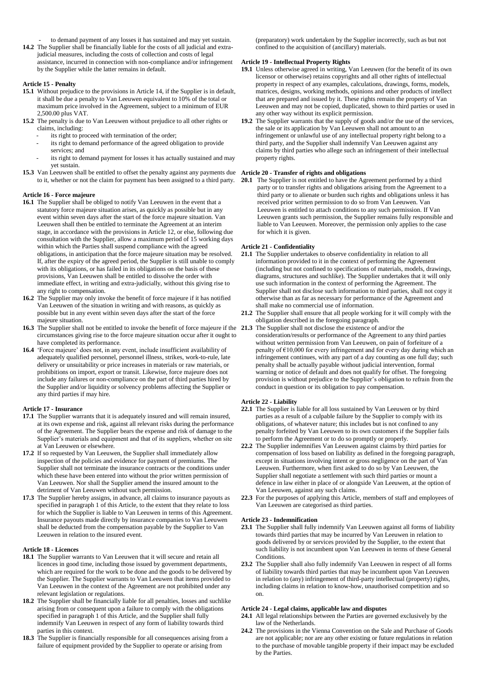- to demand payment of any losses it has sustained and may yet sustain.
- **14.2** The Supplier shall be financially liable for the costs of all judicial and extrajudicial measures, including the costs of collection and costs of legal assistance, incurred in connection with non-compliance and/or infringement by the Supplier while the latter remains in default.

## **Article 15 - Penalty**

- **15.1** Without prejudice to the provisions in Article 14, if the Supplier is in default, it shall be due a penalty to Van Leeuwen equivalent to 10% of the total or maximum price involved in the Agreement, subject to a minimum of EUR 2,500.00 plus VAT.
- **15.2** The penalty is due to Van Leeuwen without prejudice to all other rights or claims, including:
	- its right to proceed with termination of the order;
		- its right to demand performance of the agreed obligation to provide services; and
		- its right to demand payment for losses it has actually sustained and may yet sustain.
- **15.3** Van Leeuwen shall be entitled to offset the penalty against any payments due **Article 20 - Transfer of rights and obligations** to it, whether or not the claim for payment has been assigned to a third party.

### **Article 16 - Force majeure**

- **16.1** The Supplier shall be obliged to notify Van Leeuwen in the event that a statutory force majeure situation arises, as quickly as possible but in any event within seven days after the start of the force majeure situation. Van Leeuwen shall then be entitled to terminate the Agreement at an interim stage, in accordance with the provisions in Article 12, or else, following due consultation with the Supplier, allow a maximum period of 15 working days within which the Parties shall suspend compliance with the agreed obligations, in anticipation that the force majeure situation may be resolved. If, after the expiry of the agreed period, the Supplier is still unable to comply with its obligations, or has failed in its obligations on the basis of these provisions, Van Leeuwen shall be entitled to dissolve the order with immediate effect, in writing and extra-judicially, without this giving rise to any right to compensation.
- **16.2** The Supplier may only invoke the benefit of force majeure if it has notified Van Leeuwen of the situation in writing and with reasons, as quickly as possible but in any event within seven days after the start of the force majeure situation.
- **16.3** The Supplier shall not be entitled to invoke the benefit of force majeure if the **21.3** The Supplier shall not disclose the existence of and/or the circumstances giving rise to the force majeure situation occur after it ought to have completed its performance.
- **16.4** 'Force majeure' does not, in any event, include insufficient availability of adequately qualified personnel, personnel illness, strikes, work-to-rule, late delivery or unsuitability or price increases in materials or raw materials, or prohibitions on import, export or transit. Likewise, force majeure does not include any failures or non-compliance on the part of third parties hired by the Supplier and/or liquidity or solvency problems affecting the Supplier or any third parties if may hire.

#### **Article 17 - Insurance**

- **17.1** The Supplier warrants that it is adequately insured and will remain insured, at its own expense and risk, against all relevant risks during the performance of the Agreement. The Supplier bears the expense and risk of damage to the Supplier's materials and equipment and that of its suppliers, whether on site at Van Leeuwen or elsewhere.
- **17.2** If so requested by Van Leeuwen, the Supplier shall immediately allow inspection of the policies and evidence for payment of premiums. The Supplier shall not terminate the insurance contracts or the conditions under which these have been entered into without the prior written permission of Van Leeuwen. Nor shall the Supplier amend the insured amount to the detriment of Van Leeuwen without such permission.
- **17.3** The Supplier hereby assigns, in advance, all claims to insurance payouts as specified in paragraph 1 of this Article, to the extent that they relate to loss for which the Supplier is liable to Van Leeuwen in terms of this Agreement. Insurance payouts made directly by insurance companies to Van Leeuwen shall be deducted from the compensation payable by the Supplier to Van Leeuwen in relation to the insured event.

## **Article 18 - Licences**

- **18.1** The Supplier warrants to Van Leeuwen that it will secure and retain all licences in good time, including those issued by government departments, which are required for the work to be done and the goods to be delivered by the Supplier. The Supplier warrants to Van Leeuwen that items provided to Van Leeuwen in the context of the Agreement are not prohibited under any relevant legislation or regulations.
- **18.2** The Supplier shall be financially liable for all penalties, losses and suchlike arising from or consequent upon a failure to comply with the obligations specified in paragraph 1 of this Article, and the Supplier shall fully indemnify Van Leeuwen in respect of any form of liability towards third parties in this context.
- **18.3** The Supplier is financially responsible for all consequences arising from a failure of equipment provided by the Supplier to operate or arising from

(preparatory) work undertaken by the Supplier incorrectly, such as but not confined to the acquisition of (ancillary) materials.

#### **Article 19 - Intellectual Property Rights**

- **19.1** Unless otherwise agreed in writing, Van Leeuwen (for the benefit of its own licensor or otherwise) retains copyrights and all other rights of intellectual property in respect of any examples, calculations, drawings, forms, models, matrices, designs, working methods, opinions and other products of intellect that are prepared and issued by it. These rights remain the property of Van Leeuwen and may not be copied, duplicated, shown to third parties or used in any other way without its explicit permission.
- **19.2** The Supplier warrants that the supply of goods and/or the use of the services, the sale or its application by Van Leeuwen shall not amount to an infringement or unlawful use of any intellectual property right belong to a third party, and the Supplier shall indemnify Van Leeuwen against any claims by third parties who allege such an infringement of their intellectual property rights.

**20.1** The Supplier is not entitled to have the Agreement performed by a third party or to transfer rights and obligations arising from the Agreement to a third party or to alienate or burden such rights and obligations unless it has received prior written permission to do so from Van Leeuwen. Van Leeuwen is entitled to attach conditions to any such permission. If Van Leeuwen grants such permission, the Supplier remains fully responsible and liable to Van Leeuwen. Moreover, the permission only applies to the case for which it is given.

### **Article 21 - Confidentiality**

- **21.1** The Supplier undertakes to observe confidentiality in relation to all information provided to it in the context of performing the Agreement (including but not confined to specifications of materials, models, drawings, diagrams, structures and suchlike). The Supplier undertakes that it will only use such information in the context of performing the Agreement. The Supplier shall not disclose such information to third parties, shall not copy it otherwise than as far as necessary for performance of the Agreement and shall make no commercial use of information.
- **21.2** The Supplier shall ensure that all people working for it will comply with the obligation described in the foregoing paragraph.
- consideration/results or performance of the Agreement to any third parties without written permission from Van Leeuwen, on pain of forfeiture of a penalty of €10,000 for every infringement and for every day during which an infringement continues, with any part of a day counting as one full day; such penalty shall be actually payable without judicial intervention, formal warning or notice of default and does not qualify for offset. The foregoing provision is without prejudice to the Supplier's obligation to refrain from the conduct in question or its obligation to pay compensation.

#### **Article 22 - Liability**

- **22.1** The Supplier is liable for all loss sustained by Van Leeuwen or by third parties as a result of a culpable failure by the Supplier to comply with its obligations, of whatever nature; this includes but is not confined to any penalty forfeited by Van Leeuwen to its own customers if the Supplier fails to perform the Agreement or to do so promptly or properly.
- **22.2** The Supplier indemnifies Van Leeuwen against claims by third parties for compensation of loss based on liability as defined in the foregoing paragraph, except in situations involving intent or gross negligence on the part of Van Leeuwen. Furthermore, when first asked to do so by Van Leeuwen, the Supplier shall negotiate a settlement with such third parties or mount a defence in law either in place of or alongside Van Leeuwen, at the option of Van Leeuwen, against any such claims.
- **22.3** For the purposes of applying this Article, members of staff and employees of Van Leeuwen are categorised as third parties.

#### **Article 23 - Indemnification**

- **23.1** The Supplier shall fully indemnify Van Leeuwen against all forms of liability towards third parties that may be incurred by Van Leeuwen in relation to goods delivered by or services provided by the Supplier, to the extent that such liability is not incumbent upon Van Leeuwen in terms of these General Conditions.
- **23.2** The Supplier shall also fully indemnify Van Leeuwen in respect of all forms of liability towards third parties that may be incumbent upon Van Leeuwen in relation to (any) infringement of third-party intellectual (property) rights, including claims in relation to know-how, unauthorised competition and so on.

#### **Article 24 - Legal claims, applicable law and disputes**

- **24.1** All legal relationships between the Parties are governed exclusively by the law of the Netherlands.
- **24.2** The provisions in the Vienna Convention on the Sale and Purchase of Goods are not applicable; nor are any other existing or future regulations in relation to the purchase of movable tangible property if their impact may be excluded by the Parties.